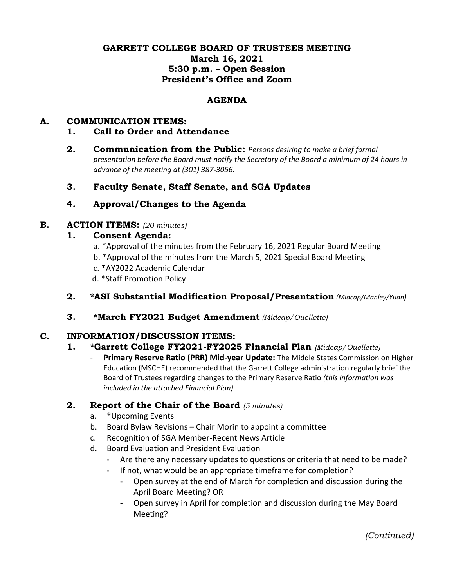### **GARRETT COLLEGE BOARD OF TRUSTEES MEETING March 16, 2021 5:30 p.m. – Open Session President's Office and Zoom**

### **AGENDA**

### **A. COMMUNICATION ITEMS:**

#### **1. Call to Order and Attendance**

**2. Communication from the Public:** *Persons desiring to make a brief formal presentation before the Board must notify the Secretary of the Board a minimum of 24 hours in advance of the meeting at (301) 387-3056.*

### **3. Faculty Senate, Staff Senate, and SGA Updates**

## **4. Approval/Changes to the Agenda**

### **B. ACTION ITEMS:** *(20 minutes)*

### **1. Consent Agenda:**

- a. \*Approval of the minutes from the February 16, 2021 Regular Board Meeting
- b. \*Approval of the minutes from the March 5, 2021 Special Board Meeting
- c. \*AY2022 Academic Calendar
- d. \*Staff Promotion Policy
- **2. \*ASI Substantial Modification Proposal/Presentation** *(Midcap/Manley/Yuan)*
- **3. \*March FY2021 Budget Amendment** *(Midcap/Ouellette)*

### **C. INFORMATION/DISCUSSION ITEMS:**

# **1. \*Garrett College FY2021-FY2025 Financial Plan** *(Midcap/Ouellette)*

- **Primary Reserve Ratio (PRR) Mid-year Update:** The Middle States Commission on Higher Education (MSCHE) recommended that the Garrett College administration regularly brief the Board of Trustees regarding changes to the Primary Reserve Ratio *(this information was included in the attached Financial Plan).*

### **2. Report of the Chair of the Board** *(5 minutes)*

- a. \*Upcoming Events
- b. Board Bylaw Revisions Chair Morin to appoint a committee
- c. Recognition of SGA Member-Recent News Article
- d. Board Evaluation and President Evaluation
	- Are there any necessary updates to questions or criteria that need to be made?
	- If not, what would be an appropriate timeframe for completion?
		- Open survey at the end of March for completion and discussion during the April Board Meeting? OR
		- Open survey in April for completion and discussion during the May Board Meeting?

*(Continued)*